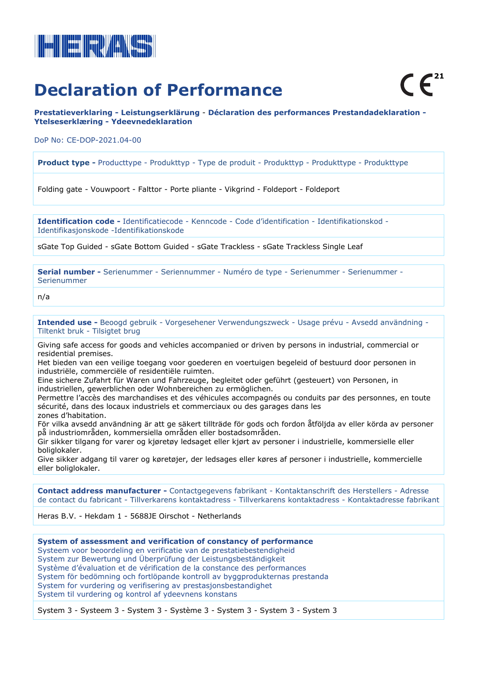

**Prestatieverklaring - Leistungserklärung** - **Déclaration des performances Prestandadeklaration - Ytelseserklæring - Ydeevnedeklaration**

DoP No: CE-DOP-2021.04-00

**Product type -** Producttype - Produkttyp - Type de produit - Produkttyp - Produkttype - Produkttype

Folding gate - Vouwpoort - Falttor - Porte pliante - Vikgrind - Foldeport - Foldeport

**Identification code -** Identificatiecode - Kenncode - Code d'identification - Identifikationskod - Identifikasjonskode -Identifikationskode

sGate Top Guided - sGate Bottom Guided - sGate Trackless - sGate Trackless Single Leaf

**Serial number -** Serienummer - Seriennummer - Numéro de type - Serienummer - Serienummer - Serienummer

n/a

**Intended use -** Beoogd gebruik - Vorgesehener Verwendungszweck - Usage prévu - Avsedd användning - Tiltenkt bruk - Tilsigtet brug

Giving safe access for goods and vehicles accompanied or driven by persons in industrial, commercial or residential premises.

Het bieden van een veilige toegang voor goederen en voertuigen begeleid of bestuurd door personen in industriële, commerciële of residentiële ruimten.

Eine sichere Zufahrt für Waren und Fahrzeuge, begleitet oder geführt (gesteuert) von Personen, in industriellen, gewerblichen oder Wohnbereichen zu ermöglichen.

Permettre l'accès des marchandises et des véhicules accompagnés ou conduits par des personnes, en toute sécurité, dans des locaux industriels et commerciaux ou des garages dans les zones d'habitation.

För vilka avsedd användning är att ge säkert tillträde för gods och fordon åtföljda av eller körda av personer på industriområden, kommersiella områden eller bostadsområden.

Gir sikker tilgang for varer og kjøretøy ledsaget eller kjørt av personer i industrielle, kommersielle eller boliglokaler.

Give sikker adgang til varer og køretøjer, der ledsages eller køres af personer i industrielle, kommercielle eller boliglokaler.

**Contact address manufacturer -** Contactgegevens fabrikant - Kontaktanschrift des Herstellers - Adresse de contact du fabricant - Tillverkarens kontaktadress - Tillverkarens kontaktadress - Kontaktadresse fabrikant

Heras B.V. - Hekdam 1 - 5688JE Oirschot - Netherlands

**System of assessment and verification of constancy of performance** Systeem voor beoordeling en verificatie van de prestatiebestendigheid System zur Bewertung und Überprüfung der Leistungsbeständigkeit Système d'évaluation et de vérification de la constance des performances System för bedömning och fortlöpande kontroll av byggprodukternas prestanda System for vurdering og verifisering av prestasjonsbestandighet System til vurdering og kontrol af ydeevnens konstans

System 3 - Systeem 3 - System 3 - Système 3 - System 3 - System 3 - System 3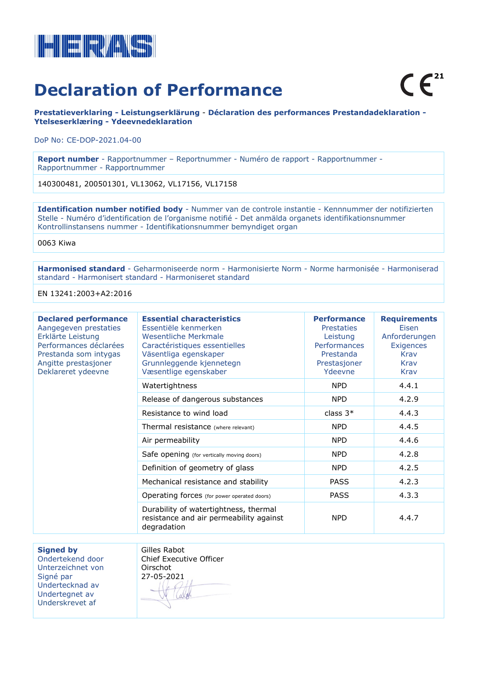

**Prestatieverklaring - Leistungserklärung** - **Déclaration des performances Prestandadeklaration - Ytelseserklæring - Ydeevnedeklaration**

DoP No: CE-DOP-2021.04-00

**Report number** - Rapportnummer – Reportnummer - Numéro de rapport - Rapportnummer - Rapportnummer - Rapportnummer

140300481, 200501301, VL13062, VL17156, VL17158

**Identification number notified body** - Nummer van de controle instantie - Kennnummer der notifizierten Stelle - Numéro d'identification de l'organisme notifié - Det anmälda organets identifikationsnummer Kontrollinstansens nummer - Identifikationsnummer bemyndiget organ

0063 Kiwa

**Harmonised standard** - Geharmoniseerde norm - Harmonisierte Norm - Norme harmonisée - Harmoniserad standard - Harmonisert standard - Harmoniseret standard

EN 13241:2003+A2:2016

| <b>Declared performance</b><br>Aangegeven prestaties<br>Erklärte Leistung<br>Performances déclarées<br>Prestanda som intygas<br>Angitte prestasjoner<br>Deklareret ydeevne | <b>Essential characteristics</b><br>Essentiële kenmerken<br>Wesentliche Merkmale<br>Caractéristiques essentielles<br>Väsentliga egenskaper<br>Grunnleggende kjennetegn<br>Væsentlige egenskaber | <b>Performance</b><br><b>Prestaties</b><br>Leistung<br><b>Performances</b><br>Prestanda<br>Prestasjoner<br>Ydeevne | <b>Requirements</b><br>Eisen<br>Anforderungen<br>Exigences<br>Krav<br>Krav<br>Krav |
|----------------------------------------------------------------------------------------------------------------------------------------------------------------------------|-------------------------------------------------------------------------------------------------------------------------------------------------------------------------------------------------|--------------------------------------------------------------------------------------------------------------------|------------------------------------------------------------------------------------|
|                                                                                                                                                                            | Watertightness                                                                                                                                                                                  | <b>NPD</b>                                                                                                         | 4.4.1                                                                              |
|                                                                                                                                                                            | Release of dangerous substances                                                                                                                                                                 | <b>NPD</b>                                                                                                         | 4.2.9                                                                              |
|                                                                                                                                                                            | Resistance to wind load                                                                                                                                                                         | class $3*$                                                                                                         | 4.4.3                                                                              |
|                                                                                                                                                                            | Thermal resistance (where relevant)                                                                                                                                                             | <b>NPD</b>                                                                                                         | 4.4.5                                                                              |
|                                                                                                                                                                            | Air permeability                                                                                                                                                                                | <b>NPD</b>                                                                                                         | 4.4.6                                                                              |
|                                                                                                                                                                            | Safe opening (for vertically moving doors)                                                                                                                                                      | <b>NPD</b>                                                                                                         | 4.2.8                                                                              |
|                                                                                                                                                                            | Definition of geometry of glass                                                                                                                                                                 | <b>NPD</b>                                                                                                         | 4.2.5                                                                              |
|                                                                                                                                                                            | Mechanical resistance and stability                                                                                                                                                             | <b>PASS</b>                                                                                                        | 4.2.3                                                                              |
|                                                                                                                                                                            | Operating forces (for power operated doors)                                                                                                                                                     | <b>PASS</b>                                                                                                        | 4.3.3                                                                              |
|                                                                                                                                                                            | Durability of watertightness, thermal<br>resistance and air permeability against<br>degradation                                                                                                 | <b>NPD</b>                                                                                                         | 4.4.7                                                                              |

**Signed by** 

Ondertekend door Unterzeichnet von Signé par Undertecknad av Undertegnet av Underskrevet af

Gilles Rabot Chief Executive Officer Oirschot 27-05-2021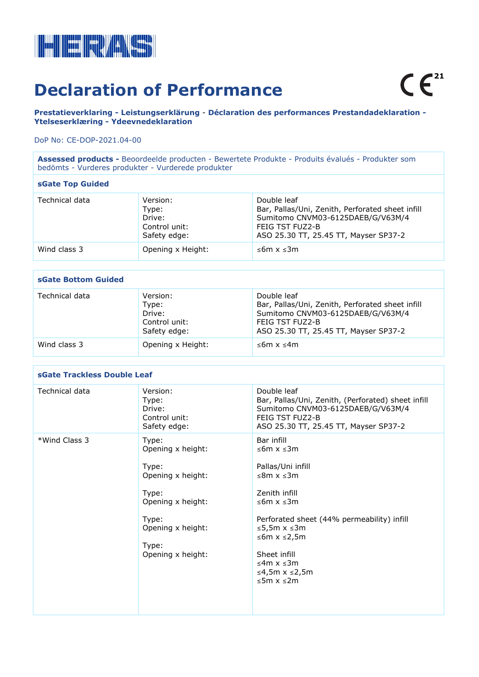

**Prestatieverklaring - Leistungserklärung** - **Déclaration des performances Prestandadeklaration - Ytelseserklæring - Ydeevnedeklaration**

### DoP No: CE-DOP-2021.04-00

**Assessed products -** Beoordeelde producten - Bewertete Produkte - Produits évalués - Produkter som bedömts - Vurderes produkter - Vurderede produkter

### **sGate Top Guided**

| Technical data | Version:<br>Type:<br>Drive:<br>Control unit:<br>Safety edge: | Double leaf<br>Bar, Pallas/Uni, Zenith, Perforated sheet infill<br>Sumitomo CNVM03-6125DAEB/G/V63M/4<br>FEIG TST FUZ2-B<br>ASO 25.30 TT, 25.45 TT, Mayser SP37-2 |
|----------------|--------------------------------------------------------------|------------------------------------------------------------------------------------------------------------------------------------------------------------------|
| Wind class 3   | Opening x Height:                                            | ≤6m x ≤3m                                                                                                                                                        |

## **sGate Bottom Guided**

| Technical data | Version:<br>Type:<br>Drive:<br>Control unit:<br>Safety edge: | Double leaf<br>Bar, Pallas/Uni, Zenith, Perforated sheet infill<br>Sumitomo CNVM03-6125DAEB/G/V63M/4<br>FEIG TST FUZ2-B<br>ASO 25.30 TT, 25.45 TT, Mayser SP37-2 |
|----------------|--------------------------------------------------------------|------------------------------------------------------------------------------------------------------------------------------------------------------------------|
| Wind class 3   | Opening x Height:                                            | ≤6m x ≤4m                                                                                                                                                        |

#### **sGate Trackless Double Leaf** Technical data Version: Type: Drive: Control unit: Safety edge: Double leaf Bar, Pallas/Uni, Zenith, (Perforated) sheet infill Sumitomo CNVM03-6125DAEB/G/V63M/4 FEIG TST FUZ2-B ASO 25.30 TT, 25.45 TT, Mayser SP37-2 \*Wind Class 3 Type: Opening x height: Type: Opening x height: Type: Opening x height: Type: Opening x height: Type: Opening x height: Bar infill ≤6m x ≤3m Pallas/Uni infill ≤8m x ≤3m Zenith infill ≤6m x ≤3m Perforated sheet (44% permeability) infill ≤5,5m x ≤3m ≤6m x ≤2,5m Sheet infill ≤4m x ≤3m ≤4,5m x ≤2,5m ≤5m x ≤2m